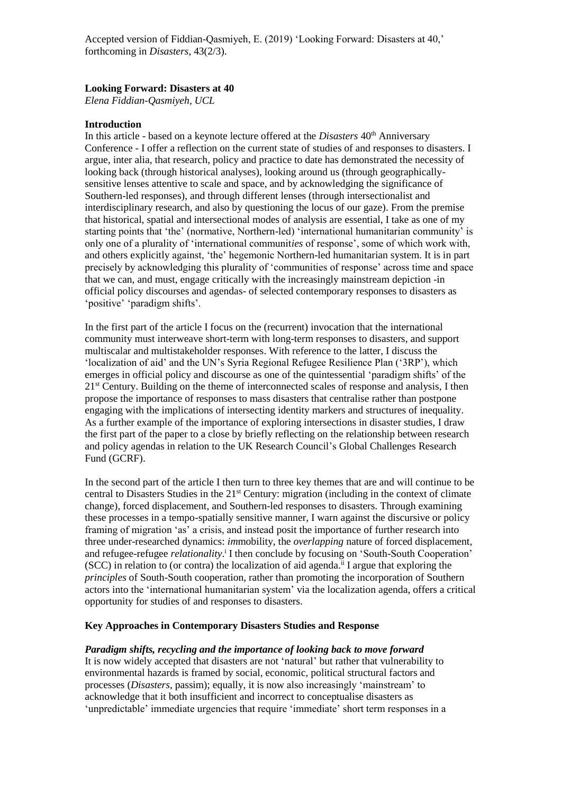# **Looking Forward: Disasters at 40**

*Elena Fiddian-Qasmiyeh, UCL*

# **Introduction**

In this article - based on a keynote lecture offered at the *Disasters* 40<sup>th</sup> Anniversary Conference - I offer a reflection on the current state of studies of and responses to disasters. I argue, inter alia, that research, policy and practice to date has demonstrated the necessity of looking back (through historical analyses), looking around us (through geographicallysensitive lenses attentive to scale and space, and by acknowledging the significance of Southern-led responses), and through different lenses (through intersectionalist and interdisciplinary research, and also by questioning the locus of our gaze). From the premise that historical, spatial and intersectional modes of analysis are essential, I take as one of my starting points that 'the' (normative, Northern-led) 'international humanitarian community' is only one of a plurality of 'international communit*ies* of response', some of which work with, and others explicitly against, 'the' hegemonic Northern-led humanitarian system. It is in part precisely by acknowledging this plurality of 'communities of response' across time and space that we can, and must, engage critically with the increasingly mainstream depiction -in official policy discourses and agendas- of selected contemporary responses to disasters as 'positive' 'paradigm shifts'.

In the first part of the article I focus on the (recurrent) invocation that the international community must interweave short-term with long-term responses to disasters, and support multiscalar and multistakeholder responses. With reference to the latter, I discuss the 'localization of aid' and the UN's Syria Regional Refugee Resilience Plan ('3RP'), which emerges in official policy and discourse as one of the quintessential 'paradigm shifts' of the 21st Century. Building on the theme of interconnected scales of response and analysis, I then propose the importance of responses to mass disasters that centralise rather than postpone engaging with the implications of intersecting identity markers and structures of inequality. As a further example of the importance of exploring intersections in disaster studies, I draw the first part of the paper to a close by briefly reflecting on the relationship between research and policy agendas in relation to the UK Research Council's Global Challenges Research Fund (GCRF).

In the second part of the article I then turn to three key themes that are and will continue to be central to Disasters Studies in the 21st Century: migration (including in the context of climate change), forced displacement, and Southern-led responses to disasters. Through examining these processes in a tempo-spatially sensitive manner, I warn against the discursive or policy framing of migration 'as' a crisis, and instead posit the importance of further research into three under-researched dynamics: *im*mobility, the *overlapping* nature of forced displacement, and refugee-refugee *relationality*. i I then conclude by focusing on 'South-South Cooperation' (SCC) in relation to (or contra) the localization of aid agenda.<sup>ii</sup> I argue that exploring the *principles* of South-South cooperation, rather than promoting the incorporation of Southern actors into the 'international humanitarian system' via the localization agenda, offers a critical opportunity for studies of and responses to disasters.

# **Key Approaches in Contemporary Disasters Studies and Response**

#### *Paradigm shifts, recycling and the importance of looking back to move forward*

It is now widely accepted that disasters are not 'natural' but rather that vulnerability to environmental hazards is framed by social, economic, political structural factors and processes (*Disasters*, passim); equally, it is now also increasingly 'mainstream' to acknowledge that it both insufficient and incorrect to conceptualise disasters as 'unpredictable' immediate urgencies that require 'immediate' short term responses in a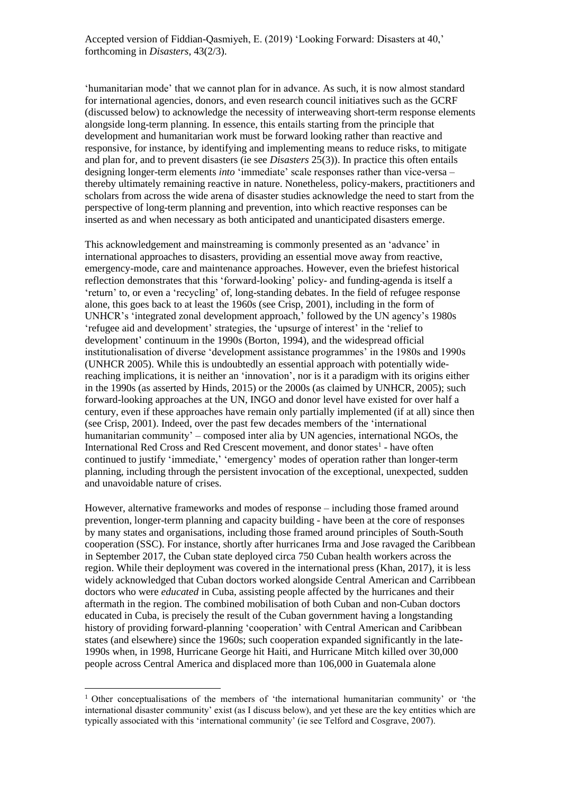'humanitarian mode' that we cannot plan for in advance. As such, it is now almost standard for international agencies, donors, and even research council initiatives such as the GCRF (discussed below) to acknowledge the necessity of interweaving short-term response elements alongside long-term planning. In essence, this entails starting from the principle that development and humanitarian work must be forward looking rather than reactive and responsive, for instance, by identifying and implementing means to reduce risks, to mitigate and plan for, and to prevent disasters (ie see *Disasters* 25(3)). In practice this often entails designing longer-term elements *into* 'immediate' scale responses rather than vice-versa – thereby ultimately remaining reactive in nature. Nonetheless, policy-makers, practitioners and scholars from across the wide arena of disaster studies acknowledge the need to start from the perspective of long-term planning and prevention, into which reactive responses can be inserted as and when necessary as both anticipated and unanticipated disasters emerge.

This acknowledgement and mainstreaming is commonly presented as an 'advance' in international approaches to disasters, providing an essential move away from reactive, emergency-mode, care and maintenance approaches. However, even the briefest historical reflection demonstrates that this 'forward-looking' policy- and funding-agenda is itself a 'return' to, or even a 'recycling' of, long-standing debates. In the field of refugee response alone, this goes back to at least the 1960s (see Crisp, 2001), including in the form of UNHCR's 'integrated zonal development approach,' followed by the UN agency's 1980s 'refugee aid and development' strategies, the 'upsurge of interest' in the 'relief to development' continuum in the 1990s (Borton, 1994), and the widespread official institutionalisation of diverse 'development assistance programmes' in the 1980s and 1990s (UNHCR 2005). While this is undoubtedly an essential approach with potentially widereaching implications, it is neither an 'innovation', nor is it a paradigm with its origins either in the 1990s (as asserted by Hinds, 2015) or the 2000s (as claimed by UNHCR, 2005); such forward-looking approaches at the UN, INGO and donor level have existed for over half a century, even if these approaches have remain only partially implemented (if at all) since then (see Crisp, 2001). Indeed, over the past few decades members of the 'international humanitarian community' – composed inter alia by UN agencies, international NGOs, the International Red Cross and Red Crescent movement, and donor states<sup>1</sup> - have often continued to justify 'immediate,' 'emergency' modes of operation rather than longer-term planning, including through the persistent invocation of the exceptional, unexpected, sudden and unavoidable nature of crises.

However, alternative frameworks and modes of response – including those framed around prevention, longer-term planning and capacity building - have been at the core of responses by many states and organisations, including those framed around principles of South-South cooperation (SSC). For instance, shortly after hurricanes Irma and Jose ravaged the Caribbean in September 2017, the Cuban state deployed circa 750 Cuban health workers across the region. While their deployment was covered in the international press (Khan, 2017), it is less widely acknowledged that Cuban doctors worked alongside Central American and Carribbean doctors who were *educated* in Cuba, assisting people affected by the hurricanes and their aftermath in the region. The combined mobilisation of both Cuban and non-Cuban doctors educated in Cuba, is precisely the result of the Cuban government having a longstanding history of providing forward-planning 'cooperation' with Central American and Caribbean states (and elsewhere) since the 1960s; such cooperation expanded significantly in the late-1990s when, in 1998, Hurricane George hit Haiti, and Hurricane Mitch killed over 30,000 people across Central America and displaced more than 106,000 in Guatemala alone

<sup>1</sup> Other conceptualisations of the members of 'the international humanitarian community' or 'the international disaster community' exist (as I discuss below), and yet these are the key entities which are typically associated with this 'international community' (ie see Telford and Cosgrave, 2007).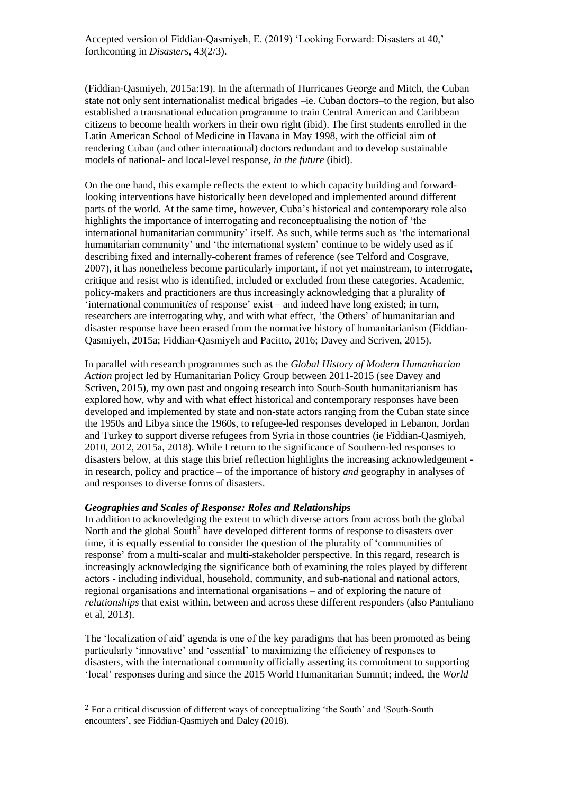(Fiddian-Qasmiyeh, 2015a:19). In the aftermath of Hurricanes George and Mitch, the Cuban state not only sent internationalist medical brigades –ie. Cuban doctors–to the region, but also established a transnational education programme to train Central American and Caribbean citizens to become health workers in their own right (ibid). The first students enrolled in the Latin American School of Medicine in Havana in May 1998, with the official aim of rendering Cuban (and other international) doctors redundant and to develop sustainable models of national- and local-level response, *in the future* (ibid).

On the one hand, this example reflects the extent to which capacity building and forwardlooking interventions have historically been developed and implemented around different parts of the world. At the same time, however, Cuba's historical and contemporary role also highlights the importance of interrogating and reconceptualising the notion of 'the international humanitarian community' itself. As such, while terms such as 'the international humanitarian community' and 'the international system' continue to be widely used as if describing fixed and internally-coherent frames of reference (see Telford and Cosgrave, 2007), it has nonetheless become particularly important, if not yet mainstream, to interrogate, critique and resist who is identified, included or excluded from these categories. Academic, policy-makers and practitioners are thus increasingly acknowledging that a plurality of 'international communit*ies* of response' exist – and indeed have long existed; in turn, researchers are interrogating why, and with what effect, 'the Others' of humanitarian and disaster response have been erased from the normative history of humanitarianism (Fiddian-Qasmiyeh, 2015a; Fiddian-Qasmiyeh and Pacitto, 2016; Davey and Scriven, 2015).

In parallel with research programmes such as the *Global History of Modern Humanitarian Action* project led by Humanitarian Policy Group between 2011-2015 (see Davey and Scriven, 2015), my own past and ongoing research into South-South humanitarianism has explored how, why and with what effect historical and contemporary responses have been developed and implemented by state and non-state actors ranging from the Cuban state since the 1950s and Libya since the 1960s, to refugee-led responses developed in Lebanon, Jordan and Turkey to support diverse refugees from Syria in those countries (ie Fiddian-Qasmiyeh, 2010, 2012, 2015a, 2018). While I return to the significance of Southern-led responses to disasters below, at this stage this brief reflection highlights the increasing acknowledgement in research, policy and practice – of the importance of history *and* geography in analyses of and responses to diverse forms of disasters.

## *Geographies and Scales of Response: Roles and Relationships*

 $\overline{a}$ 

In addition to acknowledging the extent to which diverse actors from across both the global North and the global South<sup>2</sup> have developed different forms of response to disasters over time, it is equally essential to consider the question of the plurality of 'communities of response' from a multi-scalar and multi-stakeholder perspective. In this regard, research is increasingly acknowledging the significance both of examining the roles played by different actors - including individual, household, community, and sub-national and national actors, regional organisations and international organisations – and of exploring the nature of *relationships* that exist within, between and across these different responders (also Pantuliano et al, 2013).

The 'localization of aid' agenda is one of the key paradigms that has been promoted as being particularly 'innovative' and 'essential' to maximizing the efficiency of responses to disasters, with the international community officially asserting its commitment to supporting 'local' responses during and since the 2015 World Humanitarian Summit; indeed, the *World* 

<sup>2</sup> For a critical discussion of different ways of conceptualizing 'the South' and 'South-South encounters', see Fiddian-Qasmiyeh and Daley (2018).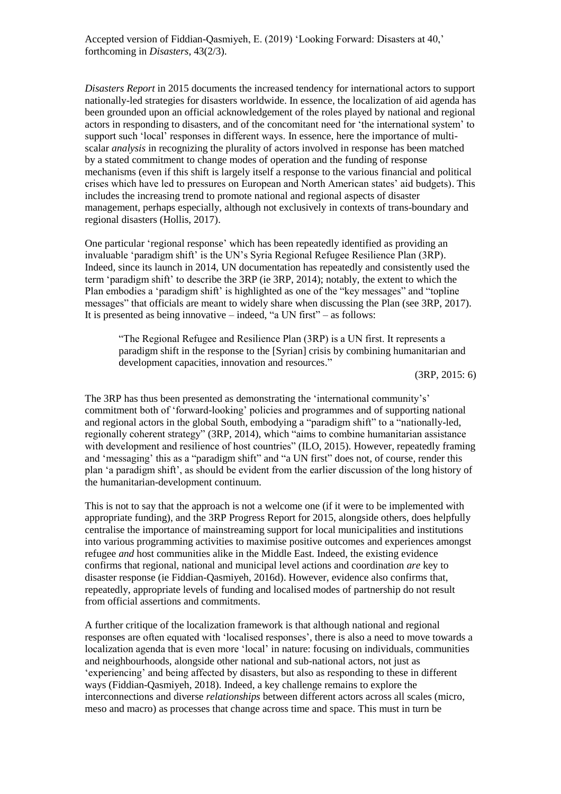*Disasters Report* in 2015 documents the increased tendency for international actors to support nationally-led strategies for disasters worldwide. In essence, the localization of aid agenda has been grounded upon an official acknowledgement of the roles played by national and regional actors in responding to disasters, and of the concomitant need for 'the international system' to support such 'local' responses in different ways. In essence, here the importance of multiscalar *analysis* in recognizing the plurality of actors involved in response has been matched by a stated commitment to change modes of operation and the funding of response mechanisms (even if this shift is largely itself a response to the various financial and political crises which have led to pressures on European and North American states' aid budgets). This includes the increasing trend to promote national and regional aspects of disaster management, perhaps especially, although not exclusively in contexts of trans-boundary and regional disasters (Hollis, 2017).

One particular 'regional response' which has been repeatedly identified as providing an invaluable 'paradigm shift' is the UN's Syria Regional Refugee Resilience Plan (3RP). Indeed, since its launch in 2014, UN documentation has repeatedly and consistently used the term 'paradigm shift' to describe the 3RP (ie 3RP, 2014); notably, the extent to which the Plan embodies a 'paradigm shift' is highlighted as one of the "key messages" and "topline messages" that officials are meant to widely share when discussing the Plan (see 3RP, 2017). It is presented as being innovative – indeed, "a UN first" – as follows:

"The Regional Refugee and Resilience Plan (3RP) is a UN first. It represents a paradigm shift in the response to the [Syrian] crisis by combining humanitarian and development capacities, innovation and resources."

(3RP, 2015: 6)

The 3RP has thus been presented as demonstrating the 'international community's' commitment both of 'forward-looking' policies and programmes and of supporting national and regional actors in the global South, embodying a "paradigm shift" to a "nationally-led, regionally coherent strategy" (3RP, 2014), which "aims to combine humanitarian assistance with development and resilience of host countries" (ILO, 2015). However, repeatedly framing and 'messaging' this as a "paradigm shift" and "a UN first" does not, of course, render this plan 'a paradigm shift', as should be evident from the earlier discussion of the long history of the humanitarian-development continuum.

This is not to say that the approach is not a welcome one (if it were to be implemented with appropriate funding), and the 3RP Progress Report for 2015, alongside others, does helpfully centralise the importance of mainstreaming support for local municipalities and institutions into various programming activities to maximise positive outcomes and experiences amongst refugee *and* host communities alike in the Middle East. Indeed, the existing evidence confirms that regional, national and municipal level actions and coordination *are* key to disaster response (ie Fiddian-Qasmiyeh, 2016d). However, evidence also confirms that, repeatedly, appropriate levels of funding and localised modes of partnership do not result from official assertions and commitments.

A further critique of the localization framework is that although national and regional responses are often equated with 'localised responses', there is also a need to move towards a localization agenda that is even more 'local' in nature: focusing on individuals, communities and neighbourhoods, alongside other national and sub-national actors, not just as 'experiencing' and being affected by disasters, but also as responding to these in different ways (Fiddian-Qasmiyeh, 2018). Indeed, a key challenge remains to explore the interconnections and diverse *relationships* between different actors across all scales (micro, meso and macro) as processes that change across time and space. This must in turn be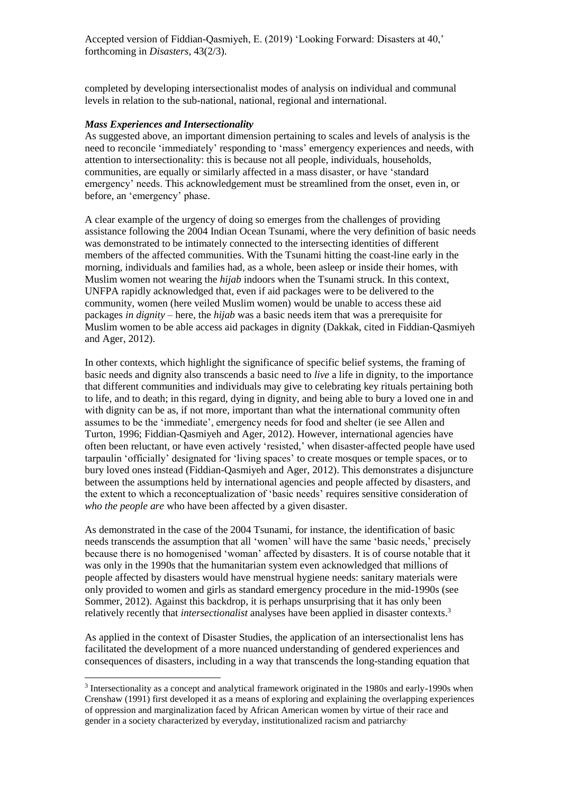completed by developing intersectionalist modes of analysis on individual and communal levels in relation to the sub-national, national, regional and international.

# *Mass Experiences and Intersectionality*

 $\overline{a}$ 

As suggested above, an important dimension pertaining to scales and levels of analysis is the need to reconcile 'immediately' responding to 'mass' emergency experiences and needs, with attention to intersectionality: this is because not all people, individuals, households, communities, are equally or similarly affected in a mass disaster, or have 'standard emergency' needs. This acknowledgement must be streamlined from the onset, even in, or before, an 'emergency' phase.

A clear example of the urgency of doing so emerges from the challenges of providing assistance following the 2004 Indian Ocean Tsunami, where the very definition of basic needs was demonstrated to be intimately connected to the intersecting identities of different members of the affected communities. With the Tsunami hitting the coast-line early in the morning, individuals and families had, as a whole, been asleep or inside their homes, with Muslim women not wearing the *hijab* indoors when the Tsunami struck. In this context, UNFPA rapidly acknowledged that, even if aid packages were to be delivered to the community, women (here veiled Muslim women) would be unable to access these aid packages *in dignity* – here, the *hijab* was a basic needs item that was a prerequisite for Muslim women to be able access aid packages in dignity (Dakkak, cited in Fiddian-Qasmiyeh and Ager, 2012).

In other contexts, which highlight the significance of specific belief systems, the framing of basic needs and dignity also transcends a basic need to *live* a life in dignity, to the importance that different communities and individuals may give to celebrating key rituals pertaining both to life, and to death; in this regard, dying in dignity, and being able to bury a loved one in and with dignity can be as, if not more, important than what the international community often assumes to be the 'immediate', emergency needs for food and shelter (ie see Allen and Turton, 1996; Fiddian-Qasmiyeh and Ager, 2012). However, international agencies have often been reluctant, or have even actively 'resisted,' when disaster-affected people have used tarpaulin 'officially' designated for 'living spaces' to create mosques or temple spaces, or to bury loved ones instead (Fiddian-Qasmiyeh and Ager, 2012). This demonstrates a disjuncture between the assumptions held by international agencies and people affected by disasters, and the extent to which a reconceptualization of 'basic needs' requires sensitive consideration of *who the people are* who have been affected by a given disaster.

As demonstrated in the case of the 2004 Tsunami, for instance, the identification of basic needs transcends the assumption that all 'women' will have the same 'basic needs,' precisely because there is no homogenised 'woman' affected by disasters. It is of course notable that it was only in the 1990s that the humanitarian system even acknowledged that millions of people affected by disasters would have menstrual hygiene needs: sanitary materials were only provided to women and girls as standard emergency procedure in the mid-1990s (see Sommer, 2012). Against this backdrop, it is perhaps unsurprising that it has only been relatively recently that *intersectionalist* analyses have been applied in disaster contexts.<sup>3</sup>

As applied in the context of Disaster Studies, the application of an intersectionalist lens has facilitated the development of a more nuanced understanding of gendered experiences and consequences of disasters, including in a way that transcends the long-standing equation that

<sup>&</sup>lt;sup>3</sup> Intersectionality as a concept and analytical framework originated in the 1980s and early-1990s when Crenshaw (1991) first developed it as a means of exploring and explaining the overlapping experiences of oppression and marginalization faced by African American women by virtue of their race and gender in a society characterized by everyday, institutionalized racism and patriarchy.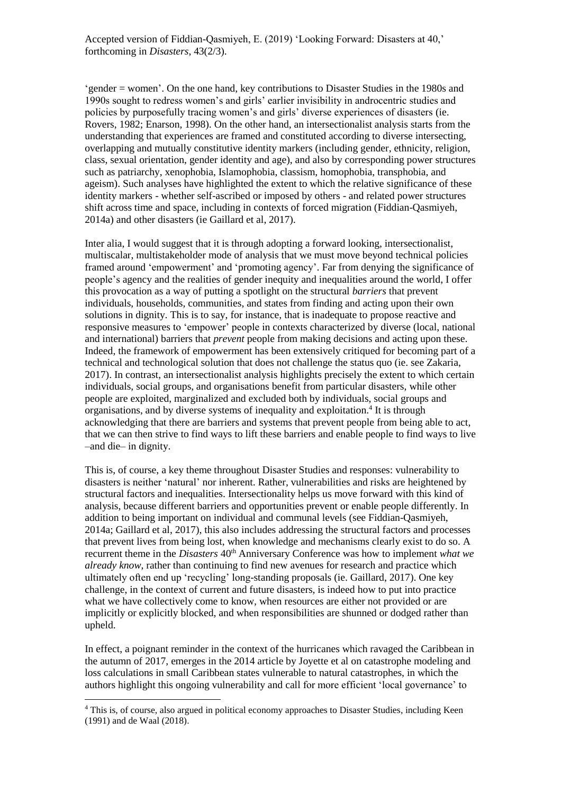'gender = women'. On the one hand, key contributions to Disaster Studies in the 1980s and 1990s sought to redress women's and girls' earlier invisibility in androcentric studies and policies by purposefully tracing women's and girls' diverse experiences of disasters (ie. Rovers, 1982; Enarson, 1998). On the other hand, an intersectionalist analysis starts from the understanding that experiences are framed and constituted according to diverse intersecting, overlapping and mutually constitutive identity markers (including gender, ethnicity, religion, class, sexual orientation, gender identity and age), and also by corresponding power structures such as patriarchy, xenophobia, Islamophobia, classism, homophobia, transphobia, and ageism). Such analyses have highlighted the extent to which the relative significance of these identity markers - whether self-ascribed or imposed by others - and related power structures shift across time and space, including in contexts of forced migration (Fiddian-Qasmiyeh, 2014a) and other disasters (ie Gaillard et al, 2017).

Inter alia, I would suggest that it is through adopting a forward looking, intersectionalist, multiscalar, multistakeholder mode of analysis that we must move beyond technical policies framed around 'empowerment' and 'promoting agency'. Far from denying the significance of people's agency and the realities of gender inequity and inequalities around the world, I offer this provocation as a way of putting a spotlight on the structural *barriers* that prevent individuals, households, communities, and states from finding and acting upon their own solutions in dignity. This is to say, for instance, that is inadequate to propose reactive and responsive measures to 'empower' people in contexts characterized by diverse (local, national and international) barriers that *prevent* people from making decisions and acting upon these. Indeed, the framework of empowerment has been extensively critiqued for becoming part of a technical and technological solution that does not challenge the status quo (ie. see Zakaria, 2017). In contrast, an intersectionalist analysis highlights precisely the extent to which certain individuals, social groups, and organisations benefit from particular disasters, while other people are exploited, marginalized and excluded both by individuals, social groups and organisations, and by diverse systems of inequality and exploitation.<sup>4</sup> It is through acknowledging that there are barriers and systems that prevent people from being able to act, that we can then strive to find ways to lift these barriers and enable people to find ways to live –and die– in dignity.

This is, of course, a key theme throughout Disaster Studies and responses: vulnerability to disasters is neither 'natural' nor inherent. Rather, vulnerabilities and risks are heightened by structural factors and inequalities. Intersectionality helps us move forward with this kind of analysis, because different barriers and opportunities prevent or enable people differently. In addition to being important on individual and communal levels (see Fiddian-Qasmiyeh, 2014a; Gaillard et al, 2017), this also includes addressing the structural factors and processes that prevent lives from being lost, when knowledge and mechanisms clearly exist to do so. A recurrent theme in the *Disasters* 40<sup>th</sup> Anniversary Conference was how to implement *what we already know*, rather than continuing to find new avenues for research and practice which ultimately often end up 'recycling' long-standing proposals (ie. Gaillard, 2017). One key challenge, in the context of current and future disasters, is indeed how to put into practice what we have collectively come to know, when resources are either not provided or are implicitly or explicitly blocked, and when responsibilities are shunned or dodged rather than upheld.

In effect, a poignant reminder in the context of the hurricanes which ravaged the Caribbean in the autumn of 2017, emerges in the 2014 article by Joyette et al on catastrophe modeling and loss calculations in small Caribbean states vulnerable to natural catastrophes, in which the authors highlight this ongoing vulnerability and call for more efficient 'local governance' to

<sup>4</sup> This is, of course, also argued in political economy approaches to Disaster Studies, including Keen (1991) and de Waal (2018).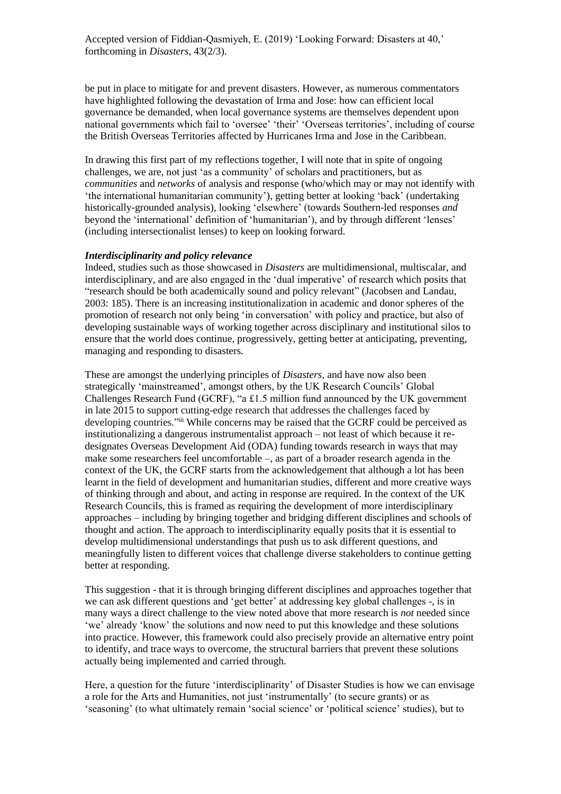be put in place to mitigate for and prevent disasters. However, as numerous commentators have highlighted following the devastation of Irma and Jose: how can efficient local governance be demanded, when local governance systems are themselves dependent upon national governments which fail to 'oversee' 'their' 'Overseas territories', including of course the British Overseas Territories affected by Hurricanes Irma and Jose in the Caribbean.

In drawing this first part of my reflections together, I will note that in spite of ongoing challenges, we are, not just 'as a community' of scholars and practitioners, but as *communities* and *networks* of analysis and response (who/which may or may not identify with 'the international humanitarian community'), getting better at looking 'back' (undertaking historically-grounded analysis), looking 'elsewhere' (towards Southern-led responses *and* beyond the 'international' definition of 'humanitarian'), and by through different 'lenses' (including intersectionalist lenses) to keep on looking forward.

## *Interdisciplinarity and policy relevance*

Indeed, studies such as those showcased in *Disasters* are multidimensional, multiscalar, and interdisciplinary, and are also engaged in the 'dual imperative' of research which posits that "research should be both academically sound and policy relevant" (Jacobsen and Landau, 2003: 185). There is an increasing institutionalization in academic and donor spheres of the promotion of research not only being 'in conversation' with policy and practice, but also of developing sustainable ways of working together across disciplinary and institutional silos to ensure that the world does continue, progressively, getting better at anticipating, preventing, managing and responding to disasters.

These are amongst the underlying principles of *Disasters*, and have now also been strategically 'mainstreamed', amongst others, by the UK Research Councils' Global Challenges Research Fund (GCRF), "a £1.5 million fund announced by the UK government in late 2015 to support cutting-edge research that addresses the challenges faced by developing countries."iii While concerns may be raised that the GCRF could be perceived as institutionalizing a dangerous instrumentalist approach – not least of which because it redesignates Overseas Development Aid (ODA) funding towards research in ways that may make some researchers feel uncomfortable –, as part of a broader research agenda in the context of the UK, the GCRF starts from the acknowledgement that although a lot has been learnt in the field of development and humanitarian studies, different and more creative ways of thinking through and about, and acting in response are required. In the context of the UK Research Councils, this is framed as requiring the development of more interdisciplinary approaches – including by bringing together and bridging different disciplines and schools of thought and action. The approach to interdisciplinarity equally posits that it is essential to develop multidimensional understandings that push us to ask different questions, and meaningfully listen to different voices that challenge diverse stakeholders to continue getting better at responding.

This suggestion - that it is through bringing different disciplines and approaches together that we can ask different questions and 'get better' at addressing key global challenges -, is in many ways a direct challenge to the view noted above that more research is *not* needed since 'we' already 'know' the solutions and now need to put this knowledge and these solutions into practice. However, this framework could also precisely provide an alternative entry point to identify, and trace ways to overcome, the structural barriers that prevent these solutions actually being implemented and carried through.

Here, a question for the future 'interdisciplinarity' of Disaster Studies is how we can envisage a role for the Arts and Humanities, not just 'instrumentally' (to secure grants) or as 'seasoning' (to what ultimately remain 'social science' or 'political science' studies), but to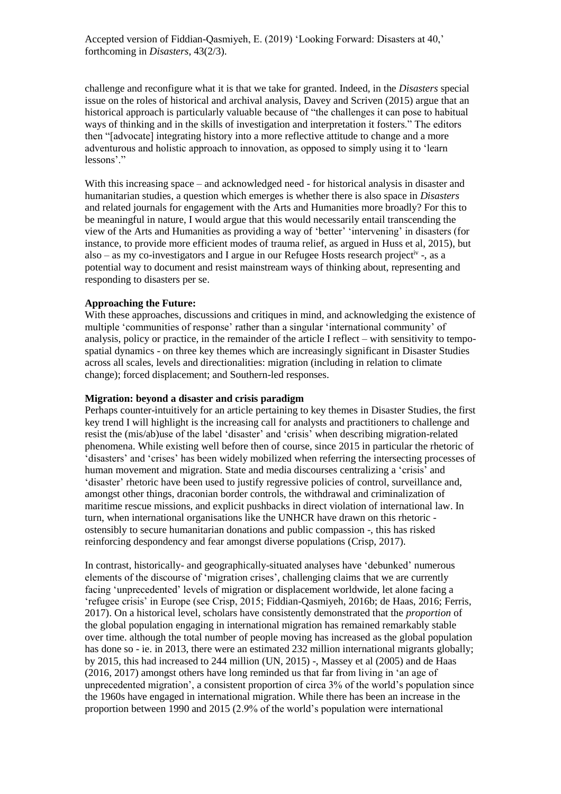challenge and reconfigure what it is that we take for granted. Indeed, in the *Disasters* special issue on the roles of historical and archival analysis, Davey and Scriven (2015) argue that an historical approach is particularly valuable because of "the challenges it can pose to habitual ways of thinking and in the skills of investigation and interpretation it fosters." The editors then "[advocate] integrating history into a more reflective attitude to change and a more adventurous and holistic approach to innovation, as opposed to simply using it to 'learn lessons'."

With this increasing space – and acknowledged need - for historical analysis in disaster and humanitarian studies, a question which emerges is whether there is also space in *Disasters* and related journals for engagement with the Arts and Humanities more broadly? For this to be meaningful in nature, I would argue that this would necessarily entail transcending the view of the Arts and Humanities as providing a way of 'better' 'intervening' in disasters (for instance, to provide more efficient modes of trauma relief, as argued in Huss et al, 2015), but also – as my co-investigators and I argue in our Refugee Hosts research project<sup>iv</sup> -, as a potential way to document and resist mainstream ways of thinking about, representing and responding to disasters per se.

## **Approaching the Future:**

With these approaches, discussions and critiques in mind, and acknowledging the existence of multiple 'communities of response' rather than a singular 'international community' of analysis, policy or practice, in the remainder of the article I reflect – with sensitivity to tempospatial dynamics - on three key themes which are increasingly significant in Disaster Studies across all scales, levels and directionalities: migration (including in relation to climate change); forced displacement; and Southern-led responses.

# **Migration: beyond a disaster and crisis paradigm**

Perhaps counter-intuitively for an article pertaining to key themes in Disaster Studies, the first key trend I will highlight is the increasing call for analysts and practitioners to challenge and resist the (mis/ab)use of the label 'disaster' and 'crisis' when describing migration-related phenomena. While existing well before then of course, since 2015 in particular the rhetoric of 'disasters' and 'crises' has been widely mobilized when referring the intersecting processes of human movement and migration. State and media discourses centralizing a 'crisis' and 'disaster' rhetoric have been used to justify regressive policies of control, surveillance and, amongst other things, draconian border controls, the withdrawal and criminalization of maritime rescue missions, and explicit pushbacks in direct violation of international law. In turn, when international organisations like the UNHCR have drawn on this rhetoric ostensibly to secure humanitarian donations and public compassion -, this has risked reinforcing despondency and fear amongst diverse populations (Crisp, 2017).

In contrast, historically- and geographically-situated analyses have 'debunked' numerous elements of the discourse of 'migration crises', challenging claims that we are currently facing 'unprecedented' levels of migration or displacement worldwide, let alone facing a 'refugee crisis' in Europe (see Crisp, 2015; Fiddian-Qasmiyeh, 2016b; de Haas, 2016; Ferris, 2017). On a historical level, scholars have consistently demonstrated that the *proportion* of the global population engaging in international migration has remained remarkably stable over time. although the total number of people moving has increased as the global population has done so - ie. in 2013, there were an estimated 232 million international migrants globally; by 2015, this had increased to 244 million (UN, 2015) -, Massey et al (2005) and de Haas (2016, 2017) amongst others have long reminded us that far from living in 'an age of unprecedented migration', a consistent proportion of circa 3% of the world's population since the 1960s have engaged in international migration. While there has been an increase in the proportion between 1990 and 2015 (2.9% of the world's population were international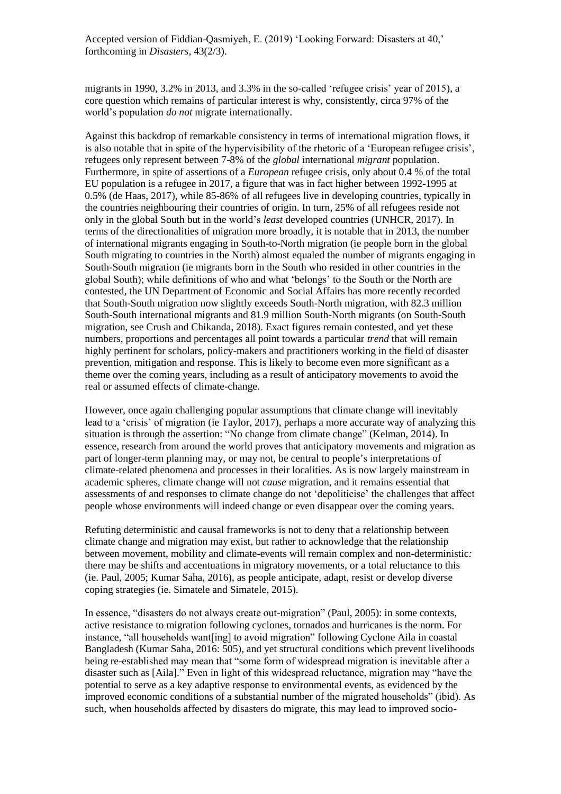migrants in 1990, 3.2% in 2013, and 3.3% in the so-called 'refugee crisis' year of 2015), a core question which remains of particular interest is why, consistently, circa 97% of the world's population *do not* migrate internationally.

Against this backdrop of remarkable consistency in terms of international migration flows, it is also notable that in spite of the hypervisibility of the rhetoric of a 'European refugee crisis', refugees only represent between 7-8% of the *global* international *migrant* population. Furthermore, in spite of assertions of a *European* refugee crisis, only about 0.4 % of the total EU population is a refugee in 2017, a figure that was in fact higher between 1992-1995 at 0.5% (de Haas, 2017), while 85-86% of all refugees live in developing countries, typically in the countries neighbouring their countries of origin. In turn, 25% of all refugees reside not only in the global South but in the world's *least* developed countries (UNHCR, 2017). In terms of the directionalities of migration more broadly, it is notable that in 2013, the number of international migrants engaging in South-to-North migration (ie people born in the global South migrating to countries in the North) almost equaled the number of migrants engaging in South-South migration (ie migrants born in the South who resided in other countries in the global South); while definitions of who and what 'belongs' to the South or the North are contested, the UN Department of Economic and Social Affairs has more recently recorded that South-South migration now slightly exceeds South-North migration, with 82.3 million South-South international migrants and 81.9 million South-North migrants (on South-South migration, see Crush and Chikanda, 2018). Exact figures remain contested, and yet these numbers, proportions and percentages all point towards a particular *trend* that will remain highly pertinent for scholars, policy-makers and practitioners working in the field of disaster prevention, mitigation and response. This is likely to become even more significant as a theme over the coming years, including as a result of anticipatory movements to avoid the real or assumed effects of climate-change.

However, once again challenging popular assumptions that climate change will inevitably lead to a 'crisis' of migration (ie Taylor, 2017), perhaps a more accurate way of analyzing this situation is through the assertion: "No change from climate change" (Kelman, 2014). In essence, research from around the world proves that anticipatory movements and migration as part of longer-term planning may, or may not, be central to people's interpretations of climate-related phenomena and processes in their localities. As is now largely mainstream in academic spheres, climate change will not *cause* migration, and it remains essential that assessments of and responses to climate change do not 'depoliticise' the challenges that affect people whose environments will indeed change or even disappear over the coming years.

Refuting deterministic and causal frameworks is not to deny that a relationship between climate change and migration may exist, but rather to acknowledge that the relationship between movement, mobility and climate-events will remain complex and non-deterministic*:* there may be shifts and accentuations in migratory movements, or a total reluctance to this (ie. Paul, 2005; Kumar Saha, 2016), as people anticipate, adapt, resist or develop diverse coping strategies (ie. Simatele and Simatele, 2015).

In essence, "disasters do not always create out-migration" (Paul, 2005): in some contexts, active resistance to migration following cyclones, tornados and hurricanes is the norm. For instance, "all households want[ing] to avoid migration" following Cyclone Aila in coastal Bangladesh (Kumar Saha, 2016: 505), and yet structural conditions which prevent livelihoods being re-established may mean that "some form of widespread migration is inevitable after a disaster such as [Aila]." Even in light of this widespread reluctance, migration may "have the potential to serve as a key adaptive response to environmental events, as evidenced by the improved economic conditions of a substantial number of the migrated households" (ibid). As such, when households affected by disasters do migrate, this may lead to improved socio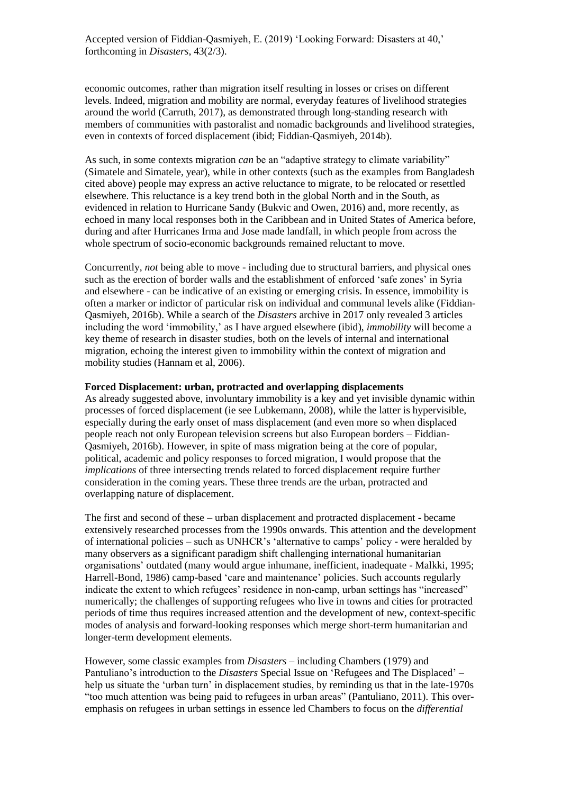economic outcomes, rather than migration itself resulting in losses or crises on different levels. Indeed, migration and mobility are normal, everyday features of livelihood strategies around the world (Carruth, 2017), as demonstrated through long-standing research with members of communities with pastoralist and nomadic backgrounds and livelihood strategies, even in contexts of forced displacement (ibid; Fiddian-Qasmiyeh, 2014b).

As such, in some contexts migration *can* be an "adaptive strategy to climate variability" (Simatele and Simatele, year), while in other contexts (such as the examples from Bangladesh cited above) people may express an active reluctance to migrate, to be relocated or resettled elsewhere. This reluctance is a key trend both in the global North and in the South, as evidenced in relation to Hurricane Sandy (Bukvic and Owen, 2016) and, more recently, as echoed in many local responses both in the Caribbean and in United States of America before, during and after Hurricanes Irma and Jose made landfall, in which people from across the whole spectrum of socio-economic backgrounds remained reluctant to move.

Concurrently, *not* being able to move - including due to structural barriers, and physical ones such as the erection of border walls and the establishment of enforced 'safe zones' in Syria and elsewhere - can be indicative of an existing or emerging crisis. In essence, immobility is often a marker or indictor of particular risk on individual and communal levels alike (Fiddian-Qasmiyeh, 2016b). While a search of the *Disasters* archive in 2017 only revealed 3 articles including the word 'immobility,' as I have argued elsewhere (ibid), *immobility* will become a key theme of research in disaster studies, both on the levels of internal and international migration, echoing the interest given to immobility within the context of migration and mobility studies (Hannam et al, 2006).

# **Forced Displacement: urban, protracted and overlapping displacements**

As already suggested above, involuntary immobility is a key and yet invisible dynamic within processes of forced displacement (ie see Lubkemann, 2008), while the latter is hypervisible, especially during the early onset of mass displacement (and even more so when displaced people reach not only European television screens but also European borders – Fiddian-Qasmiyeh, 2016b). However, in spite of mass migration being at the core of popular, political, academic and policy responses to forced migration, I would propose that the *implications* of three intersecting trends related to forced displacement require further consideration in the coming years. These three trends are the urban, protracted and overlapping nature of displacement.

The first and second of these – urban displacement and protracted displacement - became extensively researched processes from the 1990s onwards. This attention and the development of international policies – such as UNHCR's 'alternative to camps' policy - were heralded by many observers as a significant paradigm shift challenging international humanitarian organisations' outdated (many would argue inhumane, inefficient, inadequate - Malkki, 1995; Harrell-Bond, 1986) camp-based 'care and maintenance' policies. Such accounts regularly indicate the extent to which refugees' residence in non-camp, urban settings has "increased" numerically; the challenges of supporting refugees who live in towns and cities for protracted periods of time thus requires increased attention and the development of new, context-specific modes of analysis and forward-looking responses which merge short-term humanitarian and longer-term development elements.

However, some classic examples from *Disasters* – including Chambers (1979) and Pantuliano's introduction to the *Disasters* Special Issue on 'Refugees and The Displaced' – help us situate the 'urban turn' in displacement studies, by reminding us that in the late-1970s "too much attention was being paid to refugees in urban areas" (Pantuliano, 2011). This overemphasis on refugees in urban settings in essence led Chambers to focus on the *differential*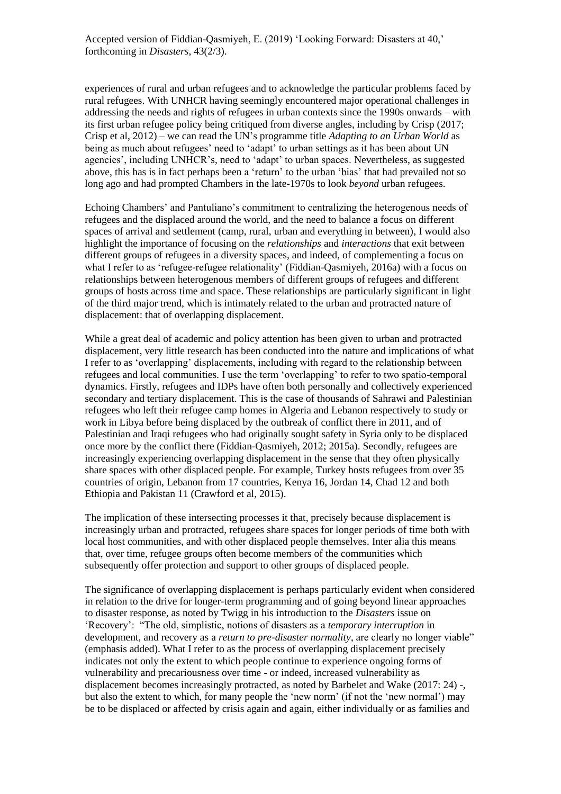experiences of rural and urban refugees and to acknowledge the particular problems faced by rural refugees. With UNHCR having seemingly encountered major operational challenges in addressing the needs and rights of refugees in urban contexts since the 1990s onwards – with its first urban refugee policy being critiqued from diverse angles, including by Crisp (2017; Crisp et al, 2012) – we can read the UN's programme title *Adapting to an Urban World* as being as much about refugees' need to 'adapt' to urban settings as it has been about UN agencies', including UNHCR's, need to 'adapt' to urban spaces. Nevertheless, as suggested above, this has is in fact perhaps been a 'return' to the urban 'bias' that had prevailed not so long ago and had prompted Chambers in the late-1970s to look *beyond* urban refugees.

Echoing Chambers' and Pantuliano's commitment to centralizing the heterogenous needs of refugees and the displaced around the world, and the need to balance a focus on different spaces of arrival and settlement (camp, rural, urban and everything in between), I would also highlight the importance of focusing on the *relationships* and *interactions* that exit between different groups of refugees in a diversity spaces, and indeed, of complementing a focus on what I refer to as 'refugee-refugee relationality' (Fiddian-Qasmiyeh, 2016a) with a focus on relationships between heterogenous members of different groups of refugees and different groups of hosts across time and space. These relationships are particularly significant in light of the third major trend, which is intimately related to the urban and protracted nature of displacement: that of overlapping displacement.

While a great deal of academic and policy attention has been given to urban and protracted displacement, very little research has been conducted into the nature and implications of what I refer to as 'overlapping' displacements, including with regard to the relationship between refugees and local communities. I use the term 'overlapping' to refer to two spatio-temporal dynamics. Firstly, refugees and IDPs have often both personally and collectively experienced secondary and tertiary displacement. This is the case of thousands of Sahrawi and Palestinian refugees who left their refugee camp homes in Algeria and Lebanon respectively to study or work in Libya before being displaced by the outbreak of conflict there in 2011, and of Palestinian and Iraqi refugees who had originally sought safety in Syria only to be displaced once more by the conflict there (Fiddian-Qasmiyeh, 2012; 2015a). Secondly, refugees are increasingly experiencing overlapping displacement in the sense that they often physically share spaces with other displaced people. For example, Turkey hosts refugees from over 35 countries of origin, Lebanon from 17 countries, Kenya 16, Jordan 14, Chad 12 and both Ethiopia and Pakistan 11 (Crawford et al, 2015).

The implication of these intersecting processes it that, precisely because displacement is increasingly urban and protracted, refugees share spaces for longer periods of time both with local host communities, and with other displaced people themselves. Inter alia this means that, over time, refugee groups often become members of the communities which subsequently offer protection and support to other groups of displaced people.

The significance of overlapping displacement is perhaps particularly evident when considered in relation to the drive for longer-term programming and of going beyond linear approaches to disaster response, as noted by Twigg in his introduction to the *Disasters* issue on 'Recovery': "The old, simplistic, notions of disasters as a *temporary interruption* in development, and recovery as a *return to pre-disaster normality*, are clearly no longer viable" (emphasis added). What I refer to as the process of overlapping displacement precisely indicates not only the extent to which people continue to experience ongoing forms of vulnerability and precariousness over time - or indeed, increased vulnerability as displacement becomes increasingly protracted, as noted by Barbelet and Wake (2017: 24) -, but also the extent to which, for many people the 'new norm' (if not the 'new normal') may be to be displaced or affected by crisis again and again, either individually or as families and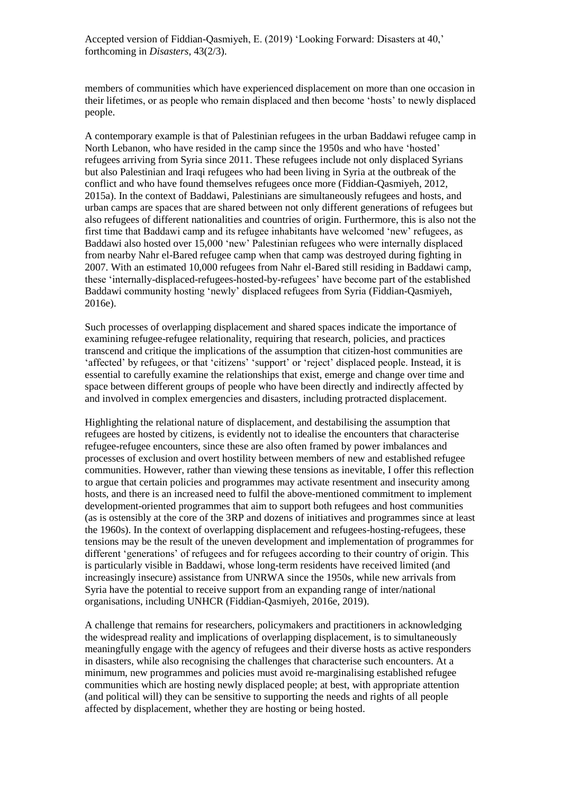members of communities which have experienced displacement on more than one occasion in their lifetimes, or as people who remain displaced and then become 'hosts' to newly displaced people.

A contemporary example is that of Palestinian refugees in the urban Baddawi refugee camp in North Lebanon, who have resided in the camp since the 1950s and who have 'hosted' refugees arriving from Syria since 2011. These refugees include not only displaced Syrians but also Palestinian and Iraqi refugees who had been living in Syria at the outbreak of the conflict and who have found themselves refugees once more (Fiddian-Qasmiyeh, 2012, 2015a). In the context of Baddawi, Palestinians are simultaneously refugees and hosts, and urban camps are spaces that are shared between not only different generations of refugees but also refugees of different nationalities and countries of origin. Furthermore, this is also not the first time that Baddawi camp and its refugee inhabitants have welcomed 'new' refugees, as Baddawi also hosted over 15,000 'new' Palestinian refugees who were internally displaced from nearby Nahr el-Bared refugee camp when that camp was destroyed during fighting in 2007. With an estimated 10,000 refugees from Nahr el-Bared still residing in Baddawi camp, these 'internally-displaced-refugees-hosted-by-refugees' have become part of the established Baddawi community hosting 'newly' displaced refugees from Syria (Fiddian-Qasmiyeh, 2016e).

Such processes of overlapping displacement and shared spaces indicate the importance of examining refugee-refugee relationality, requiring that research, policies, and practices transcend and critique the implications of the assumption that citizen-host communities are 'affected' by refugees, or that 'citizens' 'support' or 'reject' displaced people. Instead, it is essential to carefully examine the relationships that exist, emerge and change over time and space between different groups of people who have been directly and indirectly affected by and involved in complex emergencies and disasters, including protracted displacement.

Highlighting the relational nature of displacement, and destabilising the assumption that refugees are hosted by citizens, is evidently not to idealise the encounters that characterise refugee-refugee encounters, since these are also often framed by power imbalances and processes of exclusion and overt hostility between members of new and established refugee communities. However, rather than viewing these tensions as inevitable, I offer this reflection to argue that certain policies and programmes may activate resentment and insecurity among hosts, and there is an increased need to fulfil the above-mentioned commitment to implement development-oriented programmes that aim to support both refugees and host communities (as is ostensibly at the core of the 3RP and dozens of initiatives and programmes since at least the 1960s). In the context of overlapping displacement and refugees-hosting-refugees, these tensions may be the result of the uneven development and implementation of programmes for different 'generations' of refugees and for refugees according to their country of origin. This is particularly visible in Baddawi, whose long-term residents have received limited (and increasingly insecure) assistance from UNRWA since the 1950s, while new arrivals from Syria have the potential to receive support from an expanding range of inter/national organisations, including UNHCR (Fiddian-Qasmiyeh, 2016e, 2019).

A challenge that remains for researchers, policymakers and practitioners in acknowledging the widespread reality and implications of overlapping displacement, is to simultaneously meaningfully engage with the agency of refugees and their diverse hosts as active responders in disasters, while also recognising the challenges that characterise such encounters. At a minimum, new programmes and policies must avoid re-marginalising established refugee communities which are hosting newly displaced people; at best, with appropriate attention (and political will) they can be sensitive to supporting the needs and rights of all people affected by displacement, whether they are hosting or being hosted.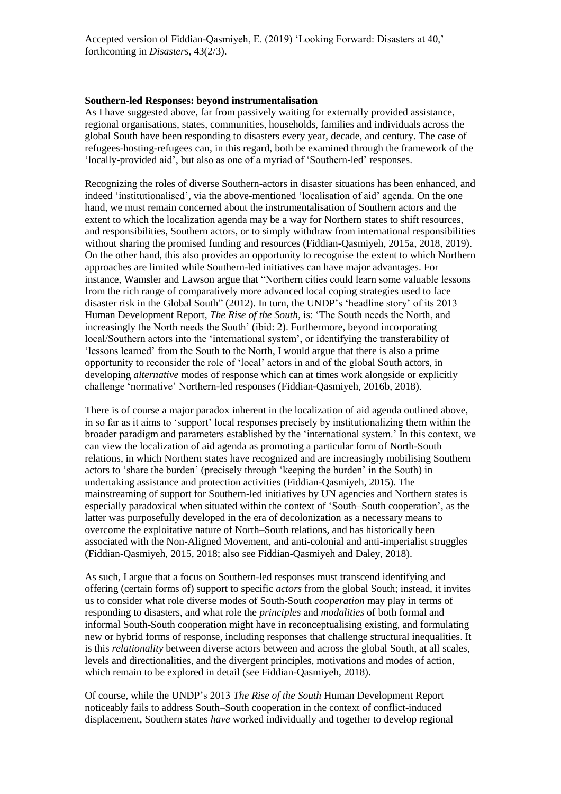## **Southern-led Responses: beyond instrumentalisation**

As I have suggested above, far from passively waiting for externally provided assistance, regional organisations, states, communities, households, families and individuals across the global South have been responding to disasters every year, decade, and century. The case of refugees-hosting-refugees can, in this regard, both be examined through the framework of the 'locally-provided aid', but also as one of a myriad of 'Southern-led' responses.

Recognizing the roles of diverse Southern-actors in disaster situations has been enhanced, and indeed 'institutionalised', via the above-mentioned 'localisation of aid' agenda. On the one hand, we must remain concerned about the instrumentalisation of Southern actors and the extent to which the localization agenda may be a way for Northern states to shift resources, and responsibilities, Southern actors, or to simply withdraw from international responsibilities without sharing the promised funding and resources (Fiddian-Qasmiyeh, 2015a, 2018, 2019). On the other hand, this also provides an opportunity to recognise the extent to which Northern approaches are limited while Southern-led initiatives can have major advantages. For instance, Wamsler and Lawson argue that "Northern cities could learn some valuable lessons from the rich range of comparatively more advanced local coping strategies used to face disaster risk in the Global South" (2012). In turn, the UNDP's 'headline story' of its 2013 Human Development Report, *The Rise of the South,* is: 'The South needs the North, and increasingly the North needs the South' (ibid: 2). Furthermore, beyond incorporating local/Southern actors into the 'international system', or identifying the transferability of 'lessons learned' from the South to the North, I would argue that there is also a prime opportunity to reconsider the role of 'local' actors in and of the global South actors, in developing *alternative* modes of response which can at times work alongside or explicitly challenge 'normative' Northern-led responses (Fiddian-Qasmiyeh, 2016b, 2018).

There is of course a major paradox inherent in the localization of aid agenda outlined above, in so far as it aims to 'support' local responses precisely by institutionalizing them within the broader paradigm and parameters established by the 'international system.' In this context, we can view the localization of aid agenda as promoting a particular form of North-South relations, in which Northern states have recognized and are increasingly mobilising Southern actors to 'share the burden' (precisely through 'keeping the burden' in the South) in undertaking assistance and protection activities (Fiddian-Qasmiyeh, 2015). The mainstreaming of support for Southern-led initiatives by UN agencies and Northern states is especially paradoxical when situated within the context of 'South–South cooperation', as the latter was purposefully developed in the era of decolonization as a necessary means to overcome the exploitative nature of North–South relations, and has historically been associated with the Non-Aligned Movement, and anti-colonial and anti-imperialist struggles (Fiddian-Qasmiyeh, 2015, 2018; also see Fiddian-Qasmiyeh and Daley, 2018).

As such, I argue that a focus on Southern-led responses must transcend identifying and offering (certain forms of) support to specific *actors* from the global South; instead, it invites us to consider what role diverse modes of South-South *cooperation* may play in terms of responding to disasters, and what role the *principles* and *modalities* of both formal and informal South-South cooperation might have in reconceptualising existing, and formulating new or hybrid forms of response, including responses that challenge structural inequalities. It is this *relationality* between diverse actors between and across the global South, at all scales, levels and directionalities, and the divergent principles, motivations and modes of action, which remain to be explored in detail (see Fiddian-Qasmiyeh, 2018).

Of course, while the UNDP's 2013 *The Rise of the South* Human Development Report noticeably fails to address South–South cooperation in the context of conflict-induced displacement, Southern states *have* worked individually and together to develop regional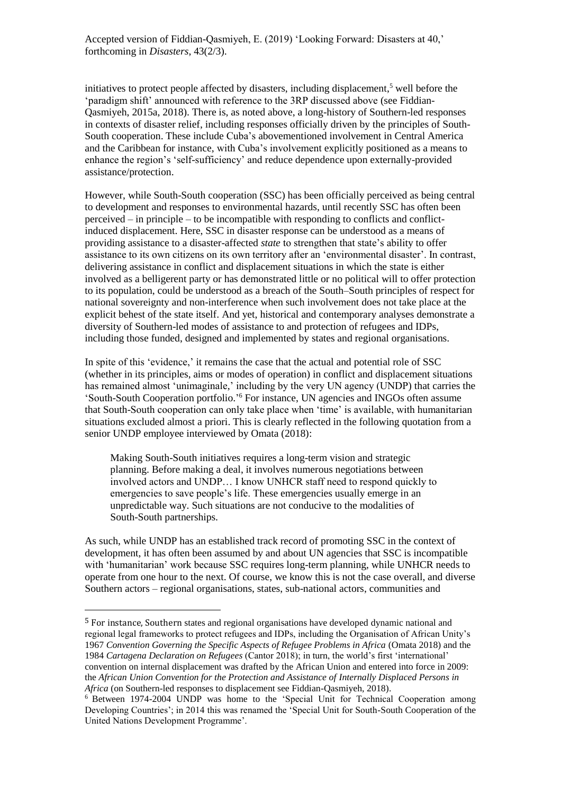initiatives to protect people affected by disasters, including displacement, <sup>5</sup> well before the 'paradigm shift' announced with reference to the 3RP discussed above (see Fiddian-Qasmiyeh, 2015a, 2018). There is, as noted above, a long-history of Southern-led responses in contexts of disaster relief, including responses officially driven by the principles of South-South cooperation. These include Cuba's abovementioned involvement in Central America and the Caribbean for instance, with Cuba's involvement explicitly positioned as a means to enhance the region's 'self-sufficiency' and reduce dependence upon externally-provided assistance/protection.

However, while South-South cooperation (SSC) has been officially perceived as being central to development and responses to environmental hazards, until recently SSC has often been perceived – in principle – to be incompatible with responding to conflicts and conflictinduced displacement. Here, SSC in disaster response can be understood as a means of providing assistance to a disaster-affected *state* to strengthen that state's ability to offer assistance to its own citizens on its own territory after an 'environmental disaster'. In contrast, delivering assistance in conflict and displacement situations in which the state is either involved as a belligerent party or has demonstrated little or no political will to offer protection to its population, could be understood as a breach of the South–South principles of respect for national sovereignty and non-interference when such involvement does not take place at the explicit behest of the state itself. And yet, historical and contemporary analyses demonstrate a diversity of Southern-led modes of assistance to and protection of refugees and IDPs, including those funded, designed and implemented by states and regional organisations.

In spite of this 'evidence,' it remains the case that the actual and potential role of SSC (whether in its principles, aims or modes of operation) in conflict and displacement situations has remained almost 'unimaginale,' including by the very UN agency (UNDP) that carries the 'South-South Cooperation portfolio.' <sup>6</sup> For instance, UN agencies and INGOs often assume that South-South cooperation can only take place when 'time' is available, with humanitarian situations excluded almost a priori. This is clearly reflected in the following quotation from a senior UNDP employee interviewed by Omata (2018):

Making South-South initiatives requires a long-term vision and strategic planning. Before making a deal, it involves numerous negotiations between involved actors and UNDP… I know UNHCR staff need to respond quickly to emergencies to save people's life. These emergencies usually emerge in an unpredictable way. Such situations are not conducive to the modalities of South-South partnerships.

As such, while UNDP has an established track record of promoting SSC in the context of development, it has often been assumed by and about UN agencies that SSC is incompatible with 'humanitarian' work because SSC requires long-term planning, while UNHCR needs to operate from one hour to the next. Of course, we know this is not the case overall, and diverse Southern actors – regional organisations, states, sub-national actors, communities and

<sup>5</sup> For instance, Southern states and regional organisations have developed dynamic national and regional legal frameworks to protect refugees and IDPs, including the Organisation of African Unity's 1967 *Convention Governing the Specific Aspects of Refugee Problems in Africa* (Omata 2018) and the 1984 *Cartagena Declaration on Refugees* (Cantor 2018); in turn, the world's first 'international' convention on internal displacement was drafted by the African Union and entered into force in 2009: the *African Union Convention for the Protection and Assistance of Internally Displaced Persons in Africa* (on Southern-led responses to displacement see Fiddian-Qasmiyeh, 2018).

<sup>6</sup> Between 1974-2004 UNDP was home to the 'Special Unit for Technical Cooperation among Developing Countries'; in 2014 this was renamed the 'Special Unit for South-South Cooperation of the United Nations Development Programme'.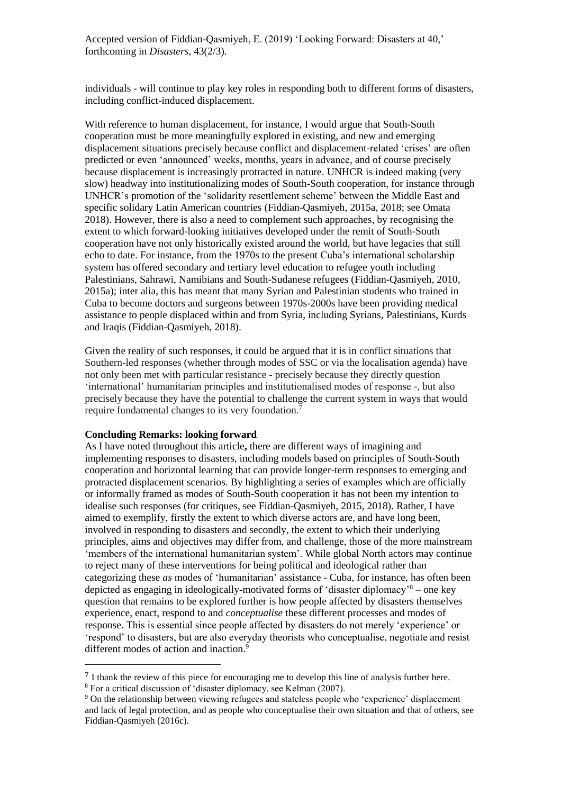individuals - will continue to play key roles in responding both to different forms of disasters, including conflict-induced displacement.

With reference to human displacement, for instance, I would argue that South-South cooperation must be more meaningfully explored in existing, and new and emerging displacement situations precisely because conflict and displacement-related 'crises' are often predicted or even 'announced' weeks, months, years in advance, and of course precisely because displacement is increasingly protracted in nature. UNHCR is indeed making (very slow) headway into institutionalizing modes of South-South cooperation, for instance through UNHCR's promotion of the 'solidarity resettlement scheme' between the Middle East and specific solidary Latin American countries (Fiddian-Qasmiyeh, 2015a, 2018; see Omata 2018). However, there is also a need to complement such approaches, by recognising the extent to which forward-looking initiatives developed under the remit of South-South cooperation have not only historically existed around the world, but have legacies that still echo to date. For instance, from the 1970s to the present Cuba's international scholarship system has offered secondary and tertiary level education to refugee youth including Palestinians, Sahrawi, Namibians and South-Sudanese refugees (Fiddian-Qasmiyeh, 2010, 2015a); inter alia, this has meant that many Syrian and Palestinian students who trained in Cuba to become doctors and surgeons between 1970s-2000s have been providing medical assistance to people displaced within and from Syria, including Syrians, Palestinians, Kurds and Iraqis (Fiddian-Qasmiyeh, 2018).

Given the reality of such responses, it could be argued that it is in conflict situations that Southern-led responses (whether through modes of SSC or via the localisation agenda) have not only been met with particular resistance - precisely because they directly question 'international' humanitarian principles and institutionalised modes of response -, but also precisely because they have the potential to challenge the current system in ways that would require fundamental changes to its very foundation.<sup>7</sup>

#### **Concluding Remarks: looking forward**

 $\overline{a}$ 

As I have noted throughout this article**,** there are different ways of imagining and implementing responses to disasters, including models based on principles of South-South cooperation and horizontal learning that can provide longer-term responses to emerging and protracted displacement scenarios. By highlighting a series of examples which are officially or informally framed as modes of South-South cooperation it has not been my intention to idealise such responses (for critiques, see Fiddian-Qasmiyeh, 2015, 2018). Rather, I have aimed to exemplify, firstly the extent to which diverse actors are, and have long been, involved in responding to disasters and secondly, the extent to which their underlying principles, aims and objectives may differ from, and challenge, those of the more mainstream 'members of the international humanitarian system'. While global North actors may continue to reject many of these interventions for being political and ideological rather than categorizing these *as* modes of 'humanitarian' assistance - Cuba, for instance, has often been depicted as engaging in ideologically-motivated forms of 'disaster diplomacy'<sup>8</sup> – one key question that remains to be explored further is how people affected by disasters themselves experience, enact, respond to and *conceptualise* these different processes and modes of response. This is essential since people affected by disasters do not merely 'experience' or 'respond' to disasters, but are also everyday theorists who conceptualise, negotiate and resist different modes of action and inaction.<sup>9</sup>

<sup>7</sup> I thank the review of this piece for encouraging me to develop this line of analysis further here.

<sup>8</sup> For a critical discussion of 'disaster diplomacy, see Kelman (2007).

<sup>9</sup> On the relationship between viewing refugees and stateless people who 'experience' displacement and lack of legal protection, and as people who conceptualise their own situation and that of others, see Fiddian-Qasmiyeh (2016c).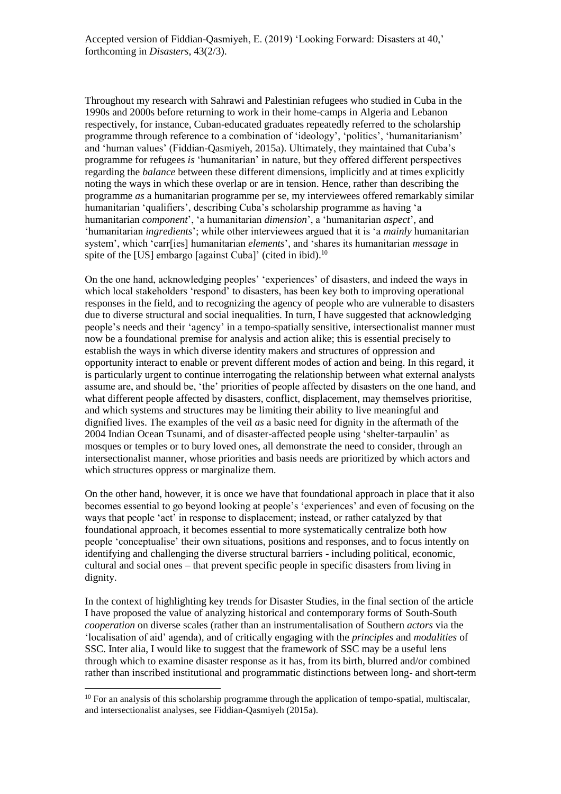Throughout my research with Sahrawi and Palestinian refugees who studied in Cuba in the 1990s and 2000s before returning to work in their home-camps in Algeria and Lebanon respectively, for instance, Cuban-educated graduates repeatedly referred to the scholarship programme through reference to a combination of 'ideology', 'politics', 'humanitarianism' and 'human values' (Fiddian-Qasmiyeh, 2015a). Ultimately, they maintained that Cuba's programme for refugees *is* 'humanitarian' in nature, but they offered different perspectives regarding the *balance* between these different dimensions, implicitly and at times explicitly noting the ways in which these overlap or are in tension. Hence, rather than describing the programme *as* a humanitarian programme per se, my interviewees offered remarkably similar humanitarian 'qualifiers', describing Cuba's scholarship programme as having 'a humanitarian *component*', 'a humanitarian *dimension*', a 'humanitarian *aspect*', and 'humanitarian *ingredients*'; while other interviewees argued that it is 'a *mainly* humanitarian system', which 'carr[ies] humanitarian *elements*', and 'shares its humanitarian *message* in spite of the [US] embargo [against Cuba]' (cited in ibid).<sup>10</sup>

On the one hand, acknowledging peoples' 'experiences' of disasters, and indeed the ways in which local stakeholders 'respond' to disasters, has been key both to improving operational responses in the field, and to recognizing the agency of people who are vulnerable to disasters due to diverse structural and social inequalities. In turn, I have suggested that acknowledging people's needs and their 'agency' in a tempo-spatially sensitive, intersectionalist manner must now be a foundational premise for analysis and action alike; this is essential precisely to establish the ways in which diverse identity makers and structures of oppression and opportunity interact to enable or prevent different modes of action and being. In this regard, it is particularly urgent to continue interrogating the relationship between what external analysts assume are, and should be, 'the' priorities of people affected by disasters on the one hand, and what different people affected by disasters, conflict, displacement, may themselves prioritise, and which systems and structures may be limiting their ability to live meaningful and dignified lives. The examples of the veil *as* a basic need for dignity in the aftermath of the 2004 Indian Ocean Tsunami, and of disaster-affected people using 'shelter-tarpaulin' as mosques or temples or to bury loved ones, all demonstrate the need to consider, through an intersectionalist manner, whose priorities and basis needs are prioritized by which actors and which structures oppress or marginalize them.

On the other hand, however, it is once we have that foundational approach in place that it also becomes essential to go beyond looking at people's 'experiences' and even of focusing on the ways that people 'act' in response to displacement; instead, or rather catalyzed by that foundational approach, it becomes essential to more systematically centralize both how people 'conceptualise' their own situations, positions and responses, and to focus intently on identifying and challenging the diverse structural barriers - including political, economic, cultural and social ones – that prevent specific people in specific disasters from living in dignity.

In the context of highlighting key trends for Disaster Studies, in the final section of the article I have proposed the value of analyzing historical and contemporary forms of South-South *cooperation* on diverse scales (rather than an instrumentalisation of Southern *actors* via the 'localisation of aid' agenda)*,* and of critically engaging with the *principles* and *modalities* of SSC. Inter alia, I would like to suggest that the framework of SSC may be a useful lens through which to examine disaster response as it has, from its birth, blurred and/or combined rather than inscribed institutional and programmatic distinctions between long- and short-term

 $10$  For an analysis of this scholarship programme through the application of tempo-spatial, multiscalar, and intersectionalist analyses, see Fiddian-Qasmiyeh (2015a).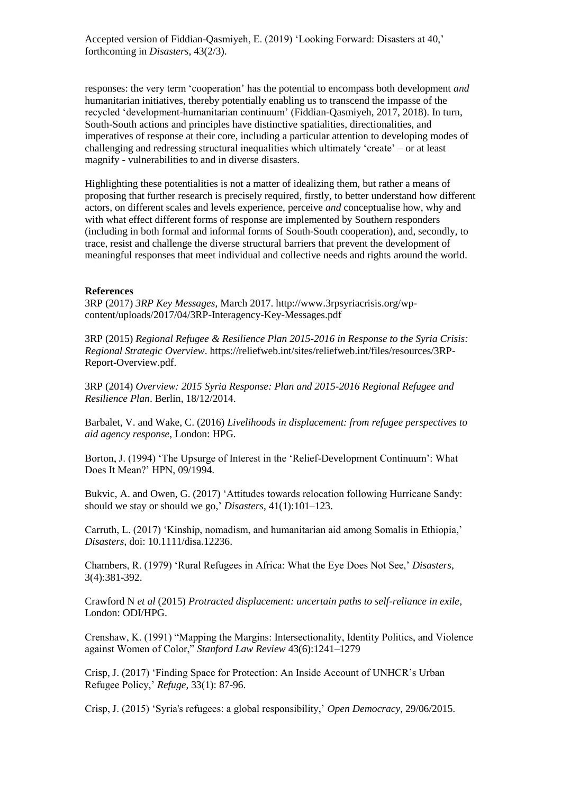responses: the very term 'cooperation' has the potential to encompass both development *and*  humanitarian initiatives, thereby potentially enabling us to transcend the impasse of the recycled 'development-humanitarian continuum' (Fiddian-Qasmiyeh, 2017, 2018). In turn, South-South actions and principles have distinctive spatialities, directionalities, and imperatives of response at their core, including a particular attention to developing modes of challenging and redressing structural inequalities which ultimately 'create' – or at least magnify - vulnerabilities to and in diverse disasters.

Highlighting these potentialities is not a matter of idealizing them, but rather a means of proposing that further research is precisely required, firstly, to better understand how different actors, on different scales and levels experience, perceive *and* conceptualise how, why and with what effect different forms of response are implemented by Southern responders (including in both formal and informal forms of South-South cooperation), and, secondly, to trace, resist and challenge the diverse structural barriers that prevent the development of meaningful responses that meet individual and collective needs and rights around the world.

#### **References**

3RP (2017) *3RP Key Messages*, March 2017. http://www.3rpsyriacrisis.org/wpcontent/uploads/2017/04/3RP-Interagency-Key-Messages.pdf

3RP (2015) *Regional Refugee & Resilience Plan 2015-2016 in Response to the Syria Crisis: Regional Strategic Overview*. https://reliefweb.int/sites/reliefweb.int/files/resources/3RP-Report-Overview.pdf.

3RP (2014) *Overview: 2015 Syria Response: Plan and 2015-2016 Regional Refugee and Resilience Plan*. Berlin, 18/12/2014.

Barbalet, V. and Wake, C. (2016) *Livelihoods in displacement: from refugee perspectives to aid agency response*, London: HPG.

Borton, J. (1994) 'The Upsurge of Interest in the 'Relief-Development Continuum': What Does It Mean?' HPN, 09/1994.

Bukvic, A. and Owen, G. (2017) 'Attitudes towards relocation following Hurricane Sandy: should we stay or should we go,' *Disasters*, 41(1):101–123.

Carruth, L. (2017) 'Kinship, nomadism, and humanitarian aid among Somalis in Ethiopia,' *Disasters*, doi: 10.1111/disa.12236.

Chambers, R. (1979) 'Rural Refugees in Africa: What the Eye Does Not See,' *Disasters*, 3(4):381-392.

Crawford N *et al* (2015) *Protracted displacement: uncertain paths to self-reliance in exile*, London: ODI/HPG.

Crenshaw, K. (1991) "Mapping the Margins: Intersectionality, Identity Politics, and Violence against Women of Color," *Stanford Law Review* 43(6):1241–1279

Crisp, J. (2017) 'Finding Space for Protection: An Inside Account of UNHCR's Urban Refugee Policy,' *Refuge*, 33(1): 87-96.

Crisp, J. (2015) 'Syria's refugees: a global responsibility,' *Open Democracy*, 29/06/2015.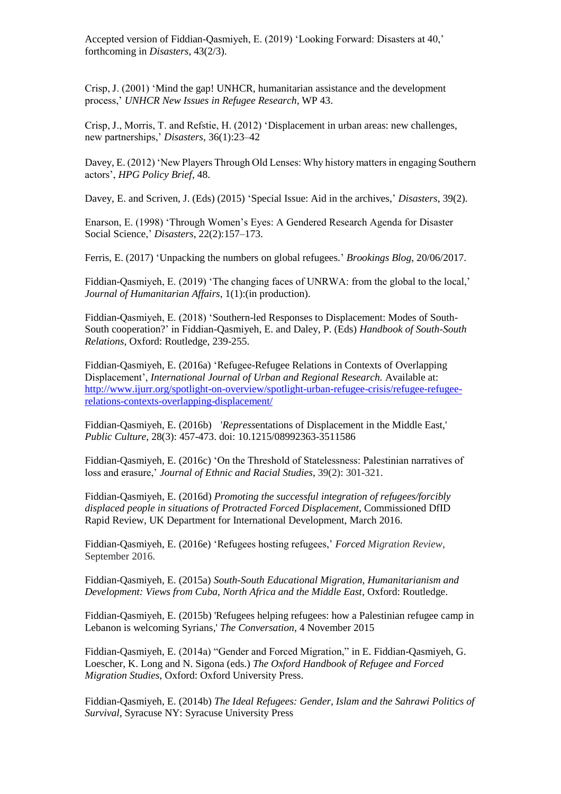Crisp, J. (2001) 'Mind the gap! UNHCR, humanitarian assistance and the development process,' *UNHCR New Issues in Refugee Research*, WP 43.

Crisp, J., Morris, T. and Refstie, H. (2012) 'Displacement in urban areas: new challenges, new partnerships,' *Disasters*, 36(1):23–42

Davey, E. (2012) 'New Players Through Old Lenses: Why history matters in engaging Southern actors', *HPG Policy Brief*, 48.

Davey, E. and Scriven, J. (Eds) (2015) 'Special Issue: Aid in the archives,' *Disasters*, 39(2).

Enarson, E. (1998) ['Through Women's Eyes: A Gendered Research Agenda for Disaster](http://onlinelibrary.wiley.com/doi/10.1111/1467-7717.00083/abstract)  [Social Science,](http://onlinelibrary.wiley.com/doi/10.1111/1467-7717.00083/abstract)' *Disasters*, 22(2):157–173.

Ferris, E. (2017) 'Unpacking the numbers on global refugees.' *Brookings Blog*, 20/06/2017.

Fiddian-Qasmiyeh, E. (2019) 'The changing faces of UNRWA: from the global to the local,' *Journal of Humanitarian Affairs,* 1(1):(in production).

Fiddian-Qasmiyeh, E. (2018) 'Southern-led Responses to Displacement: Modes of South-South cooperation?' in Fiddian-Qasmiyeh, E. and Daley, P. (Eds) *Handbook of South-South Relations*, Oxford: Routledge, 239-255.

Fiddian-Qasmiyeh, E. (2016a) 'Refugee-Refugee Relations in Contexts of Overlapping Displacement', *International Journal of Urban and Regional Research.* Available at: [http://www.ijurr.org/spotlight-on-overview/spotlight-urban-refugee-crisis/refugee-refugee](http://www.ijurr.org/spotlight-on-overview/spotlight-urban-refugee-crisis/refugee-refugee-relations-contexts-overlapping-displacement/)[relations-contexts-overlapping-displacement/](http://www.ijurr.org/spotlight-on-overview/spotlight-urban-refugee-crisis/refugee-refugee-relations-contexts-overlapping-displacement/)

Fiddian-Qasmiyeh, E. (2016b) '*Repress*entations of Displacement in the Middle East,' *Public Culture*, 28(3): 457-473. doi: 10.1215/08992363-3511586

Fiddian-Qasmiyeh, E. (2016c) 'On the Threshold of Statelessness: Palestinian narratives of loss and erasure,' *Journal of Ethnic and Racial Studies*, 39(2): 301-321.

Fiddian-Qasmiyeh, E. (2016d) *Promoting the successful integration of refugees/forcibly displaced people in situations of Protracted Forced Displacement,* Commissioned DfID Rapid Review, UK Department for International Development, March 2016.

Fiddian-Qasmiyeh, E. (2016e) 'Refugees hosting refugees,' *Forced Migration Review*, September 2016.

Fiddian-Qasmiyeh, E. (2015a) *South-South Educational Migration, Humanitarianism and Development: Views from Cuba, North Africa and the Middle East*, Oxford: Routledge.

Fiddian-Qasmiyeh, E. (2015b) ['Refugees helping refugees: how a Palestinian refugee camp in](https://theconversation.com/refugees-helping-refugees-how-a-palestinian-camp-in-lebanon-is-welcoming-syrians-48056)  [Lebanon is welcoming Syrians,](https://theconversation.com/refugees-helping-refugees-how-a-palestinian-camp-in-lebanon-is-welcoming-syrians-48056)' *The Conversation*, 4 November 2015

Fiddian-Qasmiyeh, E. (2014a) "Gender and Forced Migration," in E. Fiddian-Qasmiyeh, G. Loescher, K. Long and N. Sigona (eds.) *The Oxford Handbook of Refugee and Forced Migration Studies*, Oxford: Oxford University Press.

Fiddian-Qasmiyeh, E. (2014b) *The Ideal Refugees: Gender, Islam and the Sahrawi Politics of Survival,* Syracuse NY: Syracuse University Press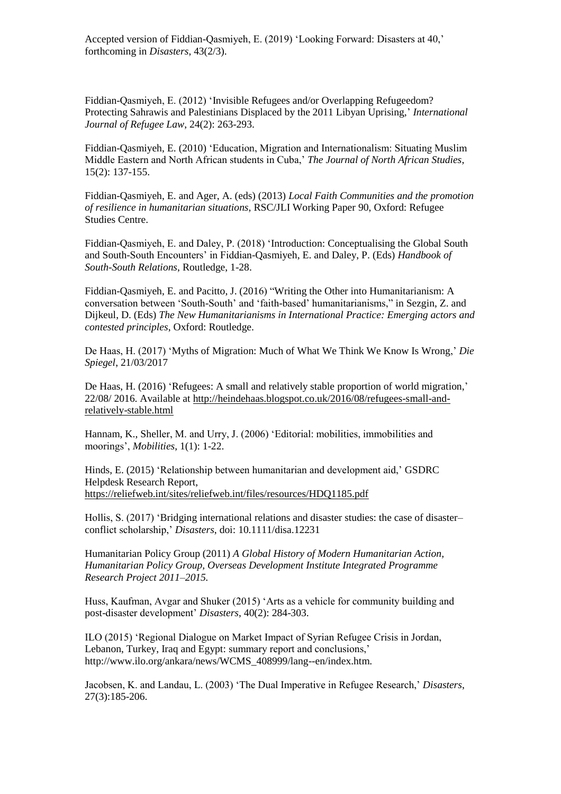Fiddian-Qasmiyeh, E. (2012) 'Invisible Refugees and/or Overlapping Refugeedom? Protecting Sahrawis and Palestinians Displaced by the 2011 Libyan Uprising,' *International Journal of Refugee Law*, 24(2): 263-293.

Fiddian-Qasmiyeh, E. (2010) 'Education, Migration and Internationalism: Situating Muslim Middle Eastern and North African students in Cuba,' *The Journal of North African Studies*, 15(2): 137-155.

Fiddian-Qasmiyeh, E. and Ager, A. (eds) (2013) *[Local Faith Communities and the promotion](http://www.rsc.ox.ac.uk/publications/working-papers-folder_contents/wp90-local-faith-communities-resilience-150213.pdf)  [of resilience in humanitarian situations,](http://www.rsc.ox.ac.uk/publications/working-papers-folder_contents/wp90-local-faith-communities-resilience-150213.pdf)* RSC/JLI Working Paper 90, Oxford: Refugee Studies Centre.

Fiddian-Qasmiyeh, E. and Daley, P. (2018) 'Introduction: Conceptualising the Global South and South-South Encounters' in Fiddian-Qasmiyeh, E. and Daley, P. (Eds) *Handbook of South-South Relations*, Routledge, 1-28.

Fiddian-Qasmiyeh, E. and Pacitto, J. (2016) "Writing the Other into Humanitarianism: A conversation between 'South-South' and 'faith-based' humanitarianisms," in Sezgin, Z. and Dijkeul, D. (Eds) *[The New Humanitarianisms in International Practice: Emerging actors and](http://www.taylorandfrancis.com/books/details/9781138829718/)  [contested principles](http://www.taylorandfrancis.com/books/details/9781138829718/)*, Oxford: Routledge.

De Haas, H. (2017) 'Myths of Migration: Much of What We Think We Know Is Wrong,' *Die Spiegel*, 21/03/2017

De Haas, H. (2016) 'Refugees: A small and relatively stable proportion of world migration,' 22/08/ 2016. Available at [http://heindehaas.blogspot.co.uk/2016/08/refugees-small-and](http://heindehaas.blogspot.co.uk/2016/08/refugees-small-and-relatively-stable.html)[relatively-stable.html](http://heindehaas.blogspot.co.uk/2016/08/refugees-small-and-relatively-stable.html)

Hannam, K., Sheller, M. and Urry, J. (2006) 'Editorial: mobilities, immobilities and moorings', *Mobilities*, 1(1): 1-22.

Hinds, E. (2015) 'Relationship between humanitarian and development aid,' GSDRC Helpdesk Research Report, <https://reliefweb.int/sites/reliefweb.int/files/resources/HDQ1185.pdf>

Hollis, S. (2017) 'Bridging international relations and disaster studies: the case of disaster– conflict scholarship,' *Disasters*, doi: 10.1111/disa.12231

Humanitarian Policy Group (2011) *A Global History of Modern Humanitarian Action, Humanitarian Policy Group, Overseas Development Institute Integrated Programme Research Project 2011–2015.*

Huss, Kaufman, Avgar and Shuker (2015) 'Arts as a vehicle for community building and post-disaster development' *Disasters*, 40(2): 284-303.

ILO (2015) 'Regional Dialogue on Market Impact of Syrian Refugee Crisis in Jordan, Lebanon, Turkey, Iraq and Egypt: summary report and conclusions,' http://www.ilo.org/ankara/news/WCMS\_408999/lang--en/index.htm.

Jacobsen, K. and Landau, L. (2003) 'The Dual Imperative in Refugee Research,' *Disasters*, 27(3):185-206.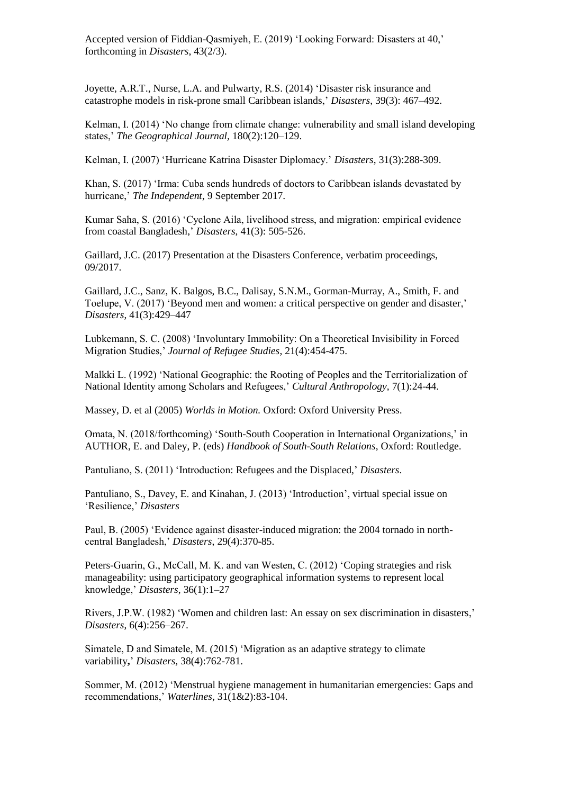Joyette, A.R.T., Nurse, L.A. and Pulwarty, R.S. (2014) ['Disaster risk insurance and](http://onlinelibrary.wiley.com/doi/10.1111/disa.12118/abstract)  [catastrophe models in risk-prone small Caribbean islands,](http://onlinelibrary.wiley.com/doi/10.1111/disa.12118/abstract)' *Disasters*, 39(3): 467–492.

Kelman, I. (2014) 'No change from climate change: vulnerability and small island developing states,' *The Geographical Journal,* 180(2):120–129.

Kelman, I. (2007) 'Hurricane Katrina Disaster Diplomacy.' *Disasters*, 31(3):288-309.

Khan, S. (2017) 'Irma: Cuba sends hundreds of doctors to Caribbean islands devastated by hurricane,' *The Independent*, 9 September 2017.

Kumar Saha, S. (2016) 'Cyclone Aila, livelihood stress, and migration: empirical evidence from coastal Bangladesh,' *Disasters*, 41(3): 505-526.

Gaillard, J.C. (2017) Presentation at the Disasters Conference, verbatim proceedings, 09/2017.

Gaillard, J.C., Sanz, K. Balgos, B.C., Dalisay, S.N.M., Gorman-Murray, A., Smith, F. and Toelupe, V. (2017) ['Beyond men and women: a critical perspective on gender and disaster,](http://onlinelibrary.wiley.com/doi/10.1111/disa.12209/full)' *Disasters*, 41(3):429–447

Lubkemann, S. C. (2008) 'Involuntary Immobility: On a Theoretical Invisibility in Forced Migration Studies,' *Journal of Refugee Studies*, 21(4):454-475.

Malkki L. (1992) 'National Geographic: the Rooting of Peoples and the Territorialization of National Identity among Scholars and Refugees,' *Cultural Anthropology,* 7(1):24-44.

Massey, D. et al (2005) *Worlds in Motion.* Oxford: Oxford University Press.

Omata, N. (2018/forthcoming) 'South-South Cooperation in International Organizations,' in AUTHOR, E. and Daley, P. (eds) *Handbook of South-South Relations*, Oxford: Routledge.

Pantuliano, S. (2011) 'Introduction: Refugees and the Displaced,' *Disasters*.

Pantuliano, S., Davey, E. and Kinahan, J. (2013) 'Introduction', virtual special issue on 'Resilience,' *Disasters*

Paul, B. (2005) 'Evidence against disaster-induced migration: the 2004 tornado in northcentral Bangladesh,' *Disasters*, 29(4):370-85.

Peters-Guarin, G., McCall, M. K. and van Westen, C. (2012) ['Coping strategies and risk](http://onlinelibrary.wiley.com/doi/10.1111/j.1467-7717.2011.01247.x/abstract)  [manageability: using participatory geographical information systems to represent local](http://onlinelibrary.wiley.com/doi/10.1111/j.1467-7717.2011.01247.x/abstract)  [knowledge,](http://onlinelibrary.wiley.com/doi/10.1111/j.1467-7717.2011.01247.x/abstract)' *Disasters*, 36(1):1–27

Rivers, J.P.W. (1982) ['Women and children last: An essay on sex discrimination in disasters,](http://onlinelibrary.wiley.com/doi/10.1111/j.1467-7717.1982.tb00548.x/pdf)' *Disasters*, 6(4):256–267.

Simatele, D and Simatele, M. (2015) 'Migration as an adaptive strategy to climate variability**,**' *Disasters,* 38(4):762-781.

Sommer, M. (2012) 'Menstrual hygiene management in humanitarian emergencies: Gaps and recommendations,' *Waterlines,* 31(1&2):83-104*.*